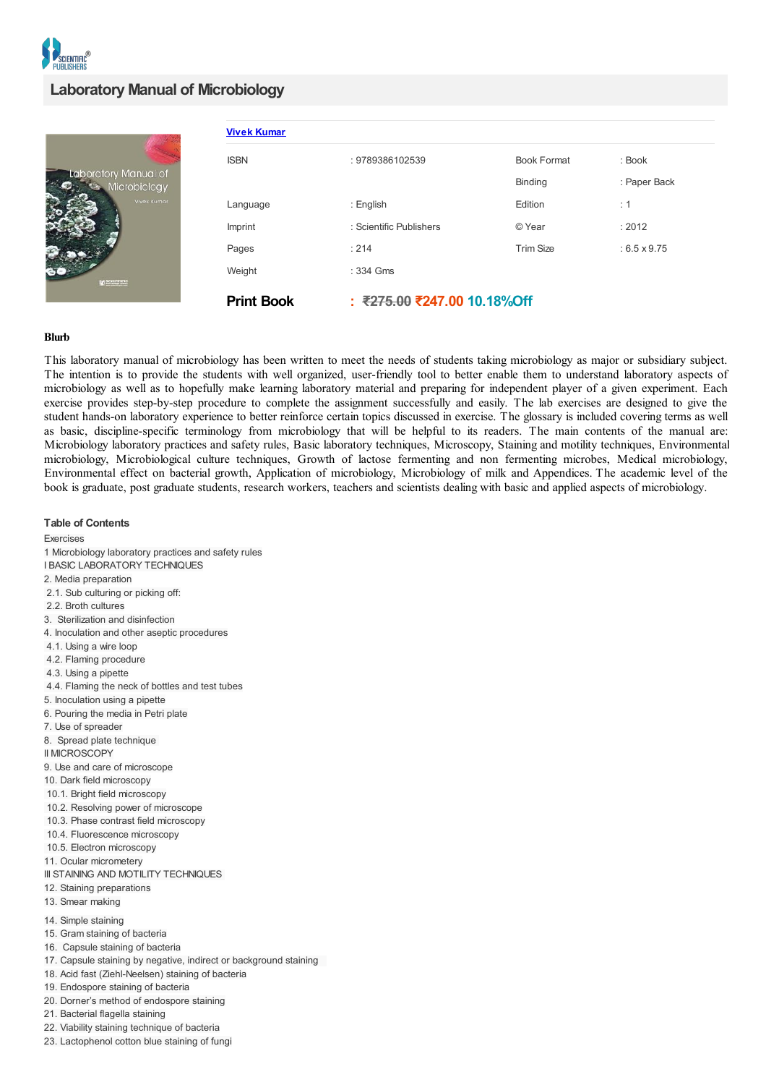

## **Laboratory Manual of Microbiology**

| Laboratory Manual of<br>Microbiology<br>Vivek Kumar<br><b>M</b> SOLUTION | <b>Vivek Kumar</b> |                             |                    |                     |
|--------------------------------------------------------------------------|--------------------|-----------------------------|--------------------|---------------------|
|                                                                          | <b>ISBN</b>        | : 9789386102539             | <b>Book Format</b> | : Book              |
|                                                                          |                    |                             | Binding            | : Paper Back        |
|                                                                          | Language           | : English                   | Edition            | : 1                 |
|                                                                          | Imprint            | : Scientific Publishers     | © Year             | : 2012              |
|                                                                          | Pages              | : 214                       | <b>Trim Size</b>   | $: 6.5 \times 9.75$ |
|                                                                          | Weight             | : 334 Gms                   |                    |                     |
|                                                                          | <b>Print Book</b>  | : ₹275.00 ₹247.00 10.18%Off |                    |                     |

## **Blurb**

This laboratory manual of microbiology has been written to meet the needs of students taking microbiology as major or subsidiary subject. The intention is to provide the students with well organized, user-friendly tool to better enable them to understand laboratory aspects of microbiology as well as to hopefully make learning laboratory material and preparing for independent player of a given experiment. Each exercise provides step-by-step procedure to complete the assignment successfully and easily. The lab exercises are designed to give the student hands-on laboratory experience to better reinforce certain topics discussed in exercise. The glossary is included covering terms as well as basic, discipline-specific terminology from microbiology that will be helpful to its readers. The main contents of the manual are: Microbiology laboratory practices and safety rules, Basic laboratory techniques, Microscopy, Staining and motility techniques, Environmental microbiology, Microbiological culture techniques, Growth of lactose fermenting and non fermenting microbes, Medical microbiology, Environmental effect on bacterial growth, Application of microbiology, Microbiology of milk and Appendices. The academic level of the book is graduate, post graduate students, research workers, teachers and scientists dealing with basic and applied aspects of microbiology.

**Table of Contents** Exercises 1 Microbiology laboratory practices and safety rules I BASIC LABORATORY TECHNIQUES 2. Media preparation 2.1. Sub culturing or picking off: 2.2. Broth cultures 3. Sterilization and disinfection 4. Inoculation and other aseptic procedures 4.1. Using a wire loop 4.2. Flaming procedure 4.3. Using a pipette 4.4. Flaming the neck of bottles and test tubes 5. Inoculation using a pipette 6. Pouring the media in Petri plate 7. Use of spreader 8. Spread plate technique II MICROSCOPY 9. Use and care of microscope 10. Dark field microscopy 10.1. Bright field microscopy 10.2. Resolving power of microscope 10.3. Phase contrast field microscopy 10.4. Fluorescence microscopy 10.5. Electron microscopy 11. Ocular micrometery III STAINING AND MOTILITY TECHNIQUES 12. Staining preparations 13. Smear making 14. Simple staining 15. Gram staining of bacteria 16. Capsule staining of bacteria 17. Capsule staining by negative, indirect or background staining 18. Acid fast (Ziehl-Neelsen) staining of bacteria 19. Endospore staining of bacteria 20. Dorner's method of endospore staining 21. Bacterial flagella staining 22. Viability staining technique of bacteria 23. Lactophenol cotton blue staining of fungi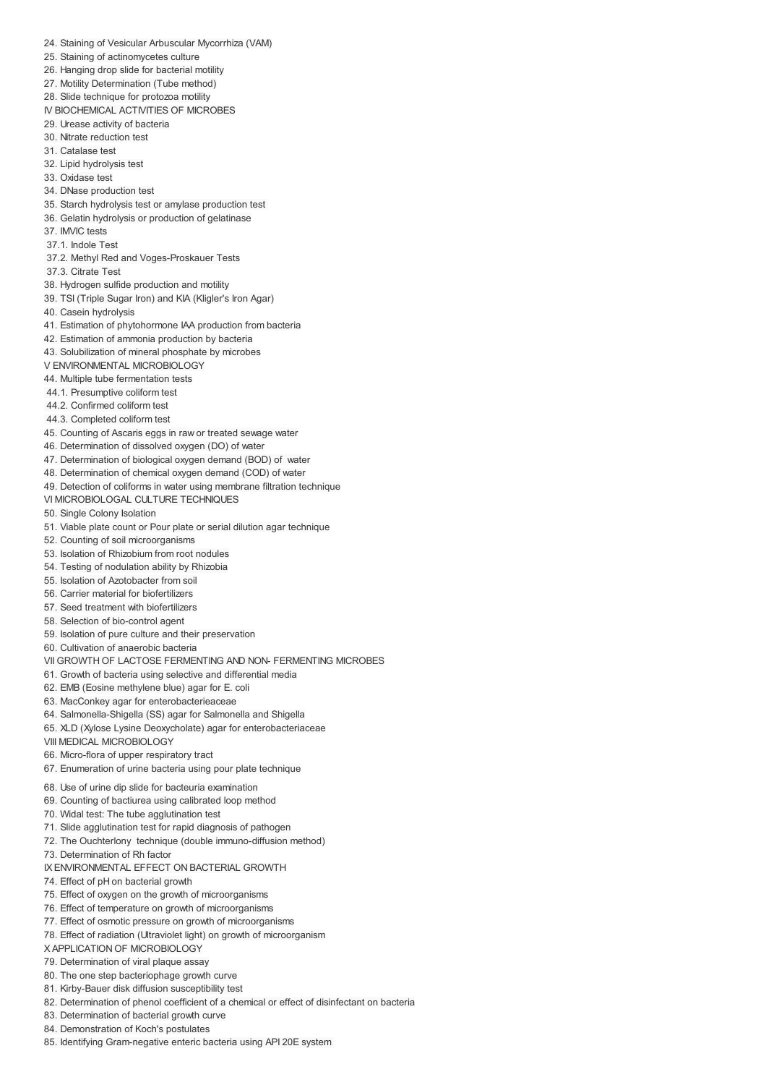- 24. Staining of Vesicular Arbuscular Mycorrhiza (VAM)
- 25. Staining of actinomycetes culture
- 26. Hanging drop slide for bacterial motility
- 27. Motility Determination (Tube method)
- 28. Slide technique for protozoa motility
- IV BIOCHEMICAL ACTIVITIES OF MICROBES
- 29. Urease activity of bacteria
- 30. Nitrate reduction test
- 31. Catalase test
- 32. Lipid hydrolysis test
- 33. Oxidase test
- 34. DNase production test
- 35. Starch hydrolysis test or amylase production test
- 36. Gelatin hydrolysis or production of gelatinase
- 37. IMVIC tests
- 37.1. Indole Test
- 37.2. Methyl Red and Voges-Proskauer Tests
- 37.3. Citrate Test
- 38. Hydrogen sulfide production and motility
- 39. TSI (Triple Sugar Iron) and KIA (Kligler's Iron Agar)
- 40. Casein hydrolysis
- 41. Estimation of phytohormone IAA production from bacteria
- 42. Estimation of ammonia production by bacteria
- 43. Solubilization of mineral phosphate by microbes
- V ENVIRONMENTAL MICROBIOLOGY
- 44. Multiple tube fermentation tests
- 44.1. Presumptive coliform test
- 44.2. Confirmed coliform test
- 44.3. Completed coliform test
- 45. Counting of Ascaris eggs in raw or treated sewage water
- 46. Determination of dissolved oxygen (DO) of water
- 47. Determination of biological oxygen demand (BOD) of water
- 48. Determination of chemical oxygen demand (COD) of water
- 49. Detection of coliforms in water using membrane filtration technique
- VI MICROBIOLOGAL CULTURE TECHNIQUES
- 50. Single Colony Isolation
- 51. Viable plate count or Pour plate or serial dilution agar technique
- 52. Counting of soil microorganisms
- 53. Isolation of Rhizobium from root nodules
- 54. Testing of nodulation ability by Rhizobia
- 55. Isolation of Azotobacter from soil
- 56. Carrier material for biofertilizers
- 57. Seed treatment with biofertilizers
- 58. Selection of bio-control agent
- 59. Isolation of pure culture and their preservation
- 60. Cultivation of anaerobic bacteria
- VII GROWTH OF LACTOSE FERMENTING AND NON- FERMENTING MICROBES
- 61. Growth of bacteria using selective and differential media
- 62. EMB (Eosine methylene blue) agar for E. coli
- 63. MacConkey agar for enterobacterieaceae
- 64. Salmonella-Shigella (SS) agar for Salmonella and Shigella
- 65. XLD (Xylose Lysine Deoxycholate) agar for enterobacteriaceae
- VIII MEDICAL MICROBIOLOGY
- 66. Micro-flora of upper respiratory tract
- 67. Enumeration of urine bacteria using pour plate technique
- 68. Use of urine dip slide for bacteuria examination
- 69. Counting of bactiurea using calibrated loop method
- 70. Widal test: The tube agglutination test
- 71. Slide agglutination test for rapid diagnosis of pathogen
- 72. The Ouchterlony technique (double immuno-diffusion method)
- 73. Determination of Rh factor
- IX ENVIRONMENTAL EFFECT ON BACTERIAL GROWTH
- 74. Effect of pH on bacterial growth
- 75. Effect of oxygen on the growth of microorganisms
- 76. Effect of temperature on growth of microorganisms
- 77. Effect of osmotic pressure on growth of microorganisms
- 78. Effect of radiation (Ultraviolet light) on growth of microorganism
- X APPLICATION OF MICROBIOLOGY
- 79. Determination of viral plaque assay
- 80. The one step bacteriophage growth curve
- 81. Kirby-Bauer disk diffusion susceptibility test
- 82. Determination of phenol coefficient of a chemical or effect of disinfectant on bacteria
- 83. Determination of bacterial growth curve
- 84. Demonstration of Koch's postulates
- 85. Identifying Gram-negative enteric bacteria using API 20E system